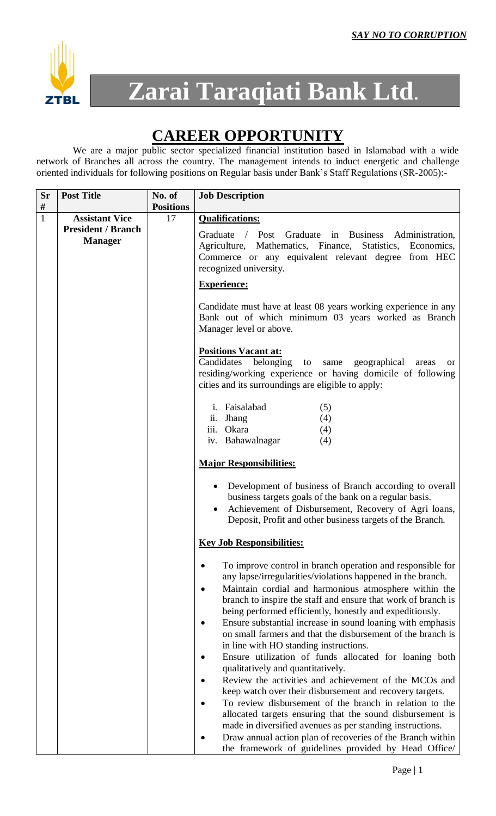

# **Zarai Taraqiati Bank Ltd.**

## **CAREER OPPORTUNITY**

We are a major public sector specialized financial institution based in Islamabad with a wide network of Branches all across the country. The management intends to induct energetic and challenge oriented individuals for following positions on Regular basis under Bank's Staff Regulations (SR-2005):-

| <b>Sr</b>    | <b>Post Title</b>                           | No. of           | <b>Job Description</b>                                                                                                                                                                                                                                                                                                                                                                                                                                                                                                                                                                                                                                                                                                                                                                                                                                                                                                                                                                                                     |
|--------------|---------------------------------------------|------------------|----------------------------------------------------------------------------------------------------------------------------------------------------------------------------------------------------------------------------------------------------------------------------------------------------------------------------------------------------------------------------------------------------------------------------------------------------------------------------------------------------------------------------------------------------------------------------------------------------------------------------------------------------------------------------------------------------------------------------------------------------------------------------------------------------------------------------------------------------------------------------------------------------------------------------------------------------------------------------------------------------------------------------|
| #            |                                             | <b>Positions</b> |                                                                                                                                                                                                                                                                                                                                                                                                                                                                                                                                                                                                                                                                                                                                                                                                                                                                                                                                                                                                                            |
| $\mathbf{1}$ | <b>Assistant Vice</b>                       | 17               | <b>Qualifications:</b>                                                                                                                                                                                                                                                                                                                                                                                                                                                                                                                                                                                                                                                                                                                                                                                                                                                                                                                                                                                                     |
|              | <b>President / Branch</b><br><b>Manager</b> |                  | / Post Graduate in Business Administration,<br>Graduate<br>Agriculture, Mathematics, Finance, Statistics, Economics,<br>Commerce or any equivalent relevant degree from HEC<br>recognized university.                                                                                                                                                                                                                                                                                                                                                                                                                                                                                                                                                                                                                                                                                                                                                                                                                      |
|              |                                             |                  | <b>Experience:</b>                                                                                                                                                                                                                                                                                                                                                                                                                                                                                                                                                                                                                                                                                                                                                                                                                                                                                                                                                                                                         |
|              |                                             |                  | Candidate must have at least 08 years working experience in any<br>Bank out of which minimum 03 years worked as Branch<br>Manager level or above.                                                                                                                                                                                                                                                                                                                                                                                                                                                                                                                                                                                                                                                                                                                                                                                                                                                                          |
|              |                                             |                  | <b>Positions Vacant at:</b>                                                                                                                                                                                                                                                                                                                                                                                                                                                                                                                                                                                                                                                                                                                                                                                                                                                                                                                                                                                                |
|              |                                             |                  | Candidates<br>belonging to same geographical<br>areas<br>or.<br>residing/working experience or having domicile of following<br>cities and its surroundings are eligible to apply:                                                                                                                                                                                                                                                                                                                                                                                                                                                                                                                                                                                                                                                                                                                                                                                                                                          |
|              |                                             |                  | i. Faisalabad<br>(5)                                                                                                                                                                                                                                                                                                                                                                                                                                                                                                                                                                                                                                                                                                                                                                                                                                                                                                                                                                                                       |
|              |                                             |                  | ii. Jhang<br>(4)                                                                                                                                                                                                                                                                                                                                                                                                                                                                                                                                                                                                                                                                                                                                                                                                                                                                                                                                                                                                           |
|              |                                             |                  | iii. Okara<br>(4)                                                                                                                                                                                                                                                                                                                                                                                                                                                                                                                                                                                                                                                                                                                                                                                                                                                                                                                                                                                                          |
|              |                                             |                  | iv. Bahawalnagar<br>(4)                                                                                                                                                                                                                                                                                                                                                                                                                                                                                                                                                                                                                                                                                                                                                                                                                                                                                                                                                                                                    |
|              |                                             |                  | <b>Major Responsibilities:</b>                                                                                                                                                                                                                                                                                                                                                                                                                                                                                                                                                                                                                                                                                                                                                                                                                                                                                                                                                                                             |
|              |                                             |                  | Development of business of Branch according to overall<br>business targets goals of the bank on a regular basis.<br>Achievement of Disbursement, Recovery of Agri loans,<br>Deposit, Profit and other business targets of the Branch.                                                                                                                                                                                                                                                                                                                                                                                                                                                                                                                                                                                                                                                                                                                                                                                      |
|              |                                             |                  | <b>Key Job Responsibilities:</b>                                                                                                                                                                                                                                                                                                                                                                                                                                                                                                                                                                                                                                                                                                                                                                                                                                                                                                                                                                                           |
|              |                                             |                  | To improve control in branch operation and responsible for<br>any lapse/irregularities/violations happened in the branch.<br>Maintain cordial and harmonious atmosphere within the<br>branch to inspire the staff and ensure that work of branch is<br>being performed efficiently, honestly and expeditiously.<br>Ensure substantial increase in sound loaning with emphasis<br>on small farmers and that the disbursement of the branch is<br>in line with HO standing instructions.<br>Ensure utilization of funds allocated for loaning both<br>٠<br>qualitatively and quantitatively.<br>Review the activities and achievement of the MCOs and<br>keep watch over their disbursement and recovery targets.<br>To review disbursement of the branch in relation to the<br>allocated targets ensuring that the sound disbursement is<br>made in diversified avenues as per standing instructions.<br>Draw annual action plan of recoveries of the Branch within<br>the framework of guidelines provided by Head Office/ |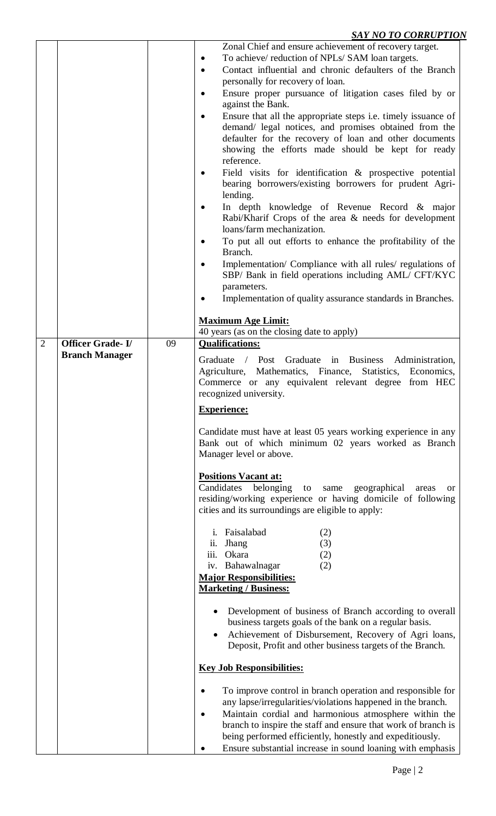### *SAY NO TO CORRUPTION*

|                |                         |    | <b>DITT TO TO COMMOT TIO</b> .                                                                            |
|----------------|-------------------------|----|-----------------------------------------------------------------------------------------------------------|
|                |                         |    | Zonal Chief and ensure achievement of recovery target.                                                    |
|                |                         |    | To achieve/ reduction of NPLs/ SAM loan targets.<br>٠                                                     |
|                |                         |    | Contact influential and chronic defaulters of the Branch<br>$\bullet$<br>personally for recovery of loan. |
|                |                         |    |                                                                                                           |
|                |                         |    | Ensure proper pursuance of litigation cases filed by or<br>$\bullet$<br>against the Bank.                 |
|                |                         |    | Ensure that all the appropriate steps <i>i.e.</i> timely issuance of                                      |
|                |                         |    | demand/ legal notices, and promises obtained from the                                                     |
|                |                         |    | defaulter for the recovery of loan and other documents                                                    |
|                |                         |    | showing the efforts made should be kept for ready                                                         |
|                |                         |    | reference.                                                                                                |
|                |                         |    | Field visits for identification $\&$ prospective potential                                                |
|                |                         |    | bearing borrowers/existing borrowers for prudent Agri-                                                    |
|                |                         |    | lending.                                                                                                  |
|                |                         |    | In depth knowledge of Revenue Record & major                                                              |
|                |                         |    | Rabi/Kharif Crops of the area & needs for development                                                     |
|                |                         |    | loans/farm mechanization.                                                                                 |
|                |                         |    | To put all out efforts to enhance the profitability of the                                                |
|                |                         |    | Branch.                                                                                                   |
|                |                         |    | Implementation/ Compliance with all rules/ regulations of                                                 |
|                |                         |    | SBP/ Bank in field operations including AML/ CFT/KYC                                                      |
|                |                         |    | parameters.                                                                                               |
|                |                         |    | Implementation of quality assurance standards in Branches.                                                |
|                |                         |    | <b>Maximum Age Limit:</b>                                                                                 |
|                |                         |    | 40 years (as on the closing date to apply)                                                                |
| $\overline{2}$ | <b>Officer Grade-I/</b> | 09 | <b>Qualifications:</b>                                                                                    |
|                | <b>Branch Manager</b>   |    | Graduate in Business Administration,<br>Graduate / Post                                                   |
|                |                         |    | Agriculture, Mathematics, Finance, Statistics, Economics,                                                 |
|                |                         |    | Commerce or any equivalent relevant degree from HEC                                                       |
|                |                         |    | recognized university.                                                                                    |
|                |                         |    | <b>Experience:</b>                                                                                        |
|                |                         |    |                                                                                                           |
|                |                         |    | Candidate must have at least 05 years working experience in any                                           |
|                |                         |    | Bank out of which minimum 02 years worked as Branch<br>Manager level or above.                            |
|                |                         |    |                                                                                                           |
|                |                         |    | <b>Positions Vacant at:</b>                                                                               |
|                |                         |    | Candidates<br>belonging<br>geographical<br>to<br>same<br>areas<br>or.                                     |
|                |                         |    | residing/working experience or having domicile of following                                               |
|                |                         |    | cities and its surroundings are eligible to apply:                                                        |
|                |                         |    |                                                                                                           |
|                |                         |    | Faisalabad<br>(2)<br>(3)<br>ii. Jhang                                                                     |
|                |                         |    | iii. Okara<br>(2)                                                                                         |
|                |                         |    | iv. Bahawalnagar<br>(2)                                                                                   |
|                |                         |    | <b>Major Responsibilities:</b>                                                                            |
|                |                         |    | <b>Marketing / Business:</b>                                                                              |
|                |                         |    |                                                                                                           |
|                |                         |    | Development of business of Branch according to overall                                                    |
|                |                         |    | business targets goals of the bank on a regular basis.                                                    |
|                |                         |    | Achievement of Disbursement, Recovery of Agri loans,                                                      |
|                |                         |    | Deposit, Profit and other business targets of the Branch.                                                 |
|                |                         |    | <b>Key Job Responsibilities:</b>                                                                          |
|                |                         |    | To improve control in branch operation and responsible for<br>$\bullet$                                   |
|                |                         |    | any lapse/irregularities/violations happened in the branch.                                               |
|                |                         |    | Maintain cordial and harmonious atmosphere within the                                                     |
|                |                         |    | branch to inspire the staff and ensure that work of branch is                                             |
|                |                         |    | being performed efficiently, honestly and expeditiously.                                                  |
|                |                         |    | Ensure substantial increase in sound loaning with emphasis                                                |